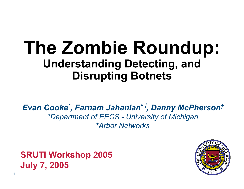## **The Zombie Roundup: Understanding Detecting, and Disrupting Botnets**

*Evan Cooke \* , Farnam Jahanian \**† *, Danny McPherson† \*Department of EECS - University of Michigan †Arbor Networks*

**SRUTI Workshop 2005 July 7, 2005**

 $-1 -$ 

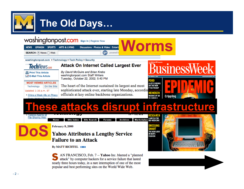

### **The Old Days…**

#### Washingtonpost.com sign In | Register Now

|                      |  | NEWS OPINION SPORTS ARTS & LIVING Discussions   Photos & Video   Enter |     |         |
|----------------------|--|------------------------------------------------------------------------|-----|---------|
| SEARCH: ● News ● Web |  |                                                                        | $g$ | powered |

By David McGuire and Brian Krebs

Tuesday, October 22, 2002; 5:40 PM

washingtonpost.com Staff Writers

washingtonpost.com > Technology > Tech Policy > Security



**且 Print This Article** 

E-Mail This Article

**MOST VIEWED ARTICLES** 

On the Site Technology Updated 1:16 p.m. ET

· China a Weak Ally on Piracy

The heart of the Internet sustained its largest and most sophisticated attack ever, starting late Monday, according officials at key online backbone organizations.

**Attack On Internet Called Largest Ever** 



## **These attacks disrupt infrastructure**

**Worms**



**DoS**

**Site Index Site Search Forums** Archives

February 8,2000

Home

#### **Yahoo Attributes a Lengthy Service Failure to an Attack**

**By MATT RICHTEL BIO** 

AN FRANCISCO, Feb. 7 -- Yahoo Inc. blamed a "planned attack" by computer hackers for a service failure that lasted nearly three hours today, in a rare interruption of one of the most popular and best performing sites on the World Wide Web.



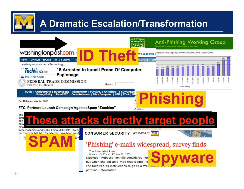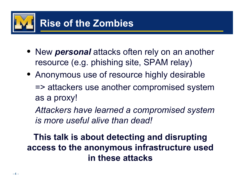

- New *personal* attacks often rely on an another resource (e.g. phishing site, SPAM relay)
- Anonymous use of resource highly desirable => attackers use another compromised system as a proxy!

*Attackers have learned a compromised system is more useful alive than dead!*

**This talk is about detecting and disrupting access to the anonymous infrastructure used in these attacks**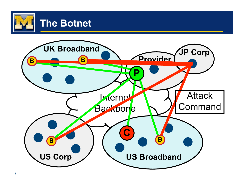

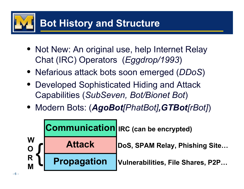## **Bot History and Structure**

- Not New: An original use, help Internet Relay Chat (IRC) Operators (*Eggdrop/1993*)
- Nefarious attack bots soon emerged (*DDoS*)
- Developed Sophisticated Hiding and Attack Capabilities (*SubSeven, Bot/Bionet Bot*)
- Modern Bots: (*AgoBot[PhatBot],GTBot[rBot]*)

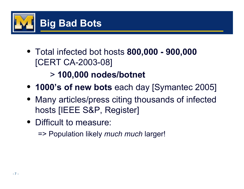

• Total infected bot hosts **800,000 - 900,000** [CERT CA-2003-08]

#### > **100,000 nodes/botnet**

- **1000's of new bots** each day [Symantec 2005]
- Many articles/press citing thousands of infected hosts [IEEE S&P, Register]
- Difficult to measure:

=> Population likely *much much* larger!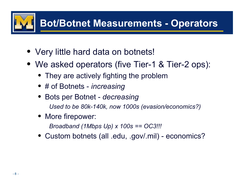# **Bot/Botnet Measurements - Operators**

- Very little hard data on botnets!
- We asked operators (five Tier-1 & Tier-2 ops):
	- They are actively fighting the problem
	- # of Botnets *increasing*
	- Bots per Botnet *decreasing Used to be 80k-140k, now 1000s (evasion/economics?)*
	- More firepower:

*Broadband (1Mbps Up) x 100s == OC3!!!*

• Custom botnets (all .edu, .gov/.mil) - economics?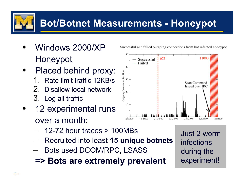### **Bot/Botnet Measurements - Honeypot**

- Windows 2000/XP Honeypot
- Placed behind proxy:
	- 1. Rate limit traffic 12KB/s
	- 2. Disallow local network
	- 3. Log all traffic
- 12 experimental runs over a month:
	- 12-72 hour traces  $> 100MBs$
	- Recruited into least **15 unique botnets**
	- Bots used DCOM/RPC, LSASS
	- **=> Bots are extremely prevalent**

Successful and failed outgoing connections from bot infected honeypot

 Just 2 worm infections during the experiment!

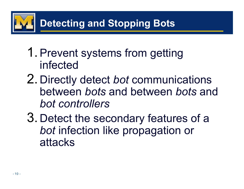

- 1. Prevent systems from getting infected
- 2. Directly detect *bot* communications between *bots* and between *bots* and *bot controllers*
- 3. Detect the secondary features of a *bot* infection like propagation or attacks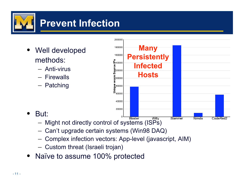

- Well developed methods:
	- Anti-virus
	- Firewalls
	- Patching



- But:
	- Might not directly control of systems (ISPs)
	- Can't upgrade certain systems (Win98 DAQ)
	- Complex infection vectors: App-level (javascript, AIM)
	- Custom threat (Israeli trojan)
- Naïve to assume 100% protected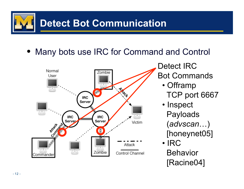

• Many bots use IRC for Command and Control



Detect IRC Bot Commands

- Offramp TCP port 6667
- Inspect Payloads (*advscan*…) [honeynet05]
- IRC Behavior [Racine04]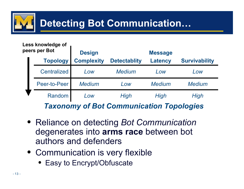

### **Detecting Bot Communication…**

#### **Less knowledge of peers per Bot**

| eers per Dor                                    |                    | <b>Design</b>     |                     | <b>Message</b> |                      |  |  |
|-------------------------------------------------|--------------------|-------------------|---------------------|----------------|----------------------|--|--|
|                                                 | <b>Topology</b>    | <b>Complexity</b> | <b>Detectablity</b> | <b>Latency</b> | <b>Survivability</b> |  |  |
|                                                 | <b>Centralized</b> | Low               | <b>Medium</b>       | Low            | Low                  |  |  |
|                                                 | Peer-to-Peer       | <b>Medium</b>     | Low                 | <b>Medium</b>  | <b>Medium</b>        |  |  |
|                                                 | Random             | Low               | High                | High           | High                 |  |  |
| <b>Taxonomy of Bot Communication Topologies</b> |                    |                   |                     |                |                      |  |  |

- Reliance on detecting *Bot Communication* degenerates into **arms race** between bot authors and defenders
- Communication is very flexible
	- Easy to Encrypt/Obfuscate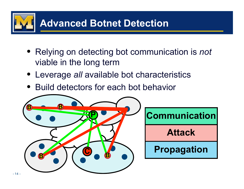

• Relying on detecting bot communication is *not* viable in the long term

**Attack**

- Leverage *all* available bot characteristics
- Build detectors for each bot behavior

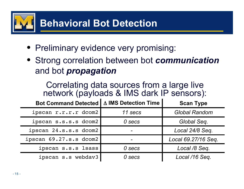

- Preliminary evidence very promising:
- Strong correlation between bot *communication* and bot *propagation*

Correlating data sources from a large live network (payloads & IMS dark IP sensors):

| <b>Bot Command Detected  </b> | ∆ IMS Detection Time | <b>Scan Type</b>     |
|-------------------------------|----------------------|----------------------|
| ipscan r.r.r.r dcom2          | 11 secs              | <b>Global Random</b> |
| ipscan s.s.s.s dcom2          | 0 secs               | Global Seq.          |
| ipscan 24.s.s.s dcom2         |                      | Local 24/8 Seq.      |
| ipscan 69.27.s.s dcom2        |                      | Local 69.27/16 Seq.  |
| ipscan s.s.s lsass            | 0 secs               | Local /8 Seq.        |
| ipscan s.s webdav3            | 0 secs               | Local /16 Seq.       |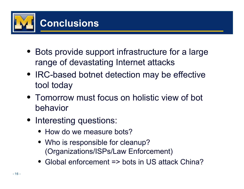

- Bots provide support infrastructure for a large range of devastating Internet attacks
- IRC-based botnet detection may be effective tool today
- Tomorrow must focus on holistic view of bot behavior
- Interesting questions:
	- How do we measure bots?
	- Who is responsible for cleanup? (Organizations/ISPs/Law Enforcement)
	- Global enforcement => bots in US attack China?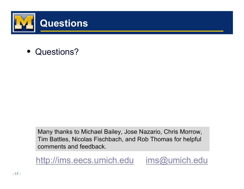

• Questions?

Many thanks to Michael Bailey, Jose Nazario, Chris Morrow, Tim Battles, Nicolas Fischbach, and Rob Thomas for helpful comments and feedback.

http://ims.eecs.umich.edu ims@umich.edu